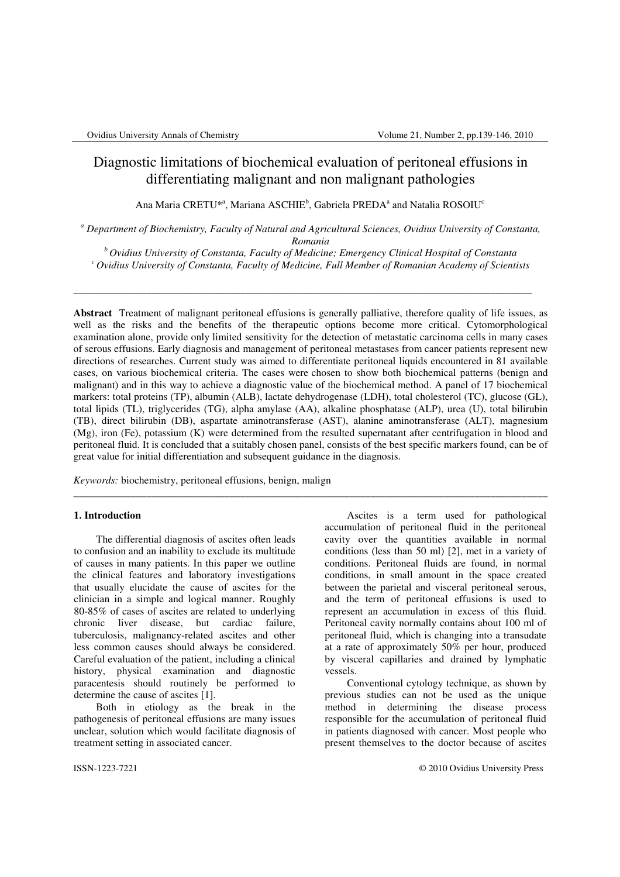# Diagnostic limitations of biochemical evaluation of peritoneal effusions in differentiating malignant and non malignant pathologies

Ana Maria CRETU\*<sup>a</sup>, Mariana ASCHIE<sup>b</sup>, Gabriela PREDA<sup>a</sup> and Natalia ROSOIU<sup>c</sup>

*a Department of Biochemistry, Faculty of Natural and Agricultural Sciences, Ovidius University of Constanta, Romania* 

*<sup>b</sup>Ovidius University of Constanta, Faculty of Medicine; Emergency Clinical Hospital of Constanta <sup>c</sup>Ovidius University of Constanta, Faculty of Medicine, Full Member of Romanian Academy of Scientists* 

\_\_\_\_\_\_\_\_\_\_\_\_\_\_\_\_\_\_\_\_\_\_\_\_\_\_\_\_\_\_\_\_\_\_\_\_\_\_\_\_\_\_\_\_\_\_\_\_\_\_\_\_\_\_\_\_\_\_\_\_\_\_\_\_\_\_\_\_\_\_\_\_\_\_\_\_\_\_\_\_\_\_\_\_\_\_\_\_

**Abstract** Treatment of malignant peritoneal effusions is generally palliative, therefore quality of life issues, as well as the risks and the benefits of the therapeutic options become more critical. Cytomorphological examination alone, provide only limited sensitivity for the detection of metastatic carcinoma cells in many cases of serous effusions. Early diagnosis and management of peritoneal metastases from cancer patients represent new directions of researches. Current study was aimed to differentiate peritoneal liquids encountered in 81 available cases, on various biochemical criteria. The cases were chosen to show both biochemical patterns (benign and malignant) and in this way to achieve a diagnostic value of the biochemical method. A panel of 17 biochemical markers: total proteins (TP), albumin (ALB), lactate dehydrogenase (LDH), total cholesterol (TC), glucose (GL), total lipids (TL), triglycerides (TG), alpha amylase (AA), alkaline phosphatase (ALP), urea (U), total bilirubin (TB), direct bilirubin (DB), aspartate aminotransferase (AST), alanine aminotransferase (ALT), magnesium (Mg), iron (Fe), potassium (K) were determined from the resulted supernatant after centrifugation in blood and peritoneal fluid. It is concluded that a suitably chosen panel, consists of the best specific markers found, can be of great value for initial differentiation and subsequent guidance in the diagnosis.

\_\_\_\_\_\_\_\_\_\_\_\_\_\_\_\_\_\_\_\_\_\_\_\_\_\_\_\_\_\_\_\_\_\_\_\_\_\_\_\_\_\_\_\_\_\_\_\_\_\_\_\_\_\_\_\_\_\_\_\_\_\_\_\_\_\_\_\_\_\_\_\_\_\_\_\_\_\_\_\_\_\_\_\_\_\_\_\_\_\_\_

*Keywords:* biochemistry, peritoneal effusions, benign, malign

# **1. Introduction**

The differential diagnosis of ascites often leads to confusion and an inability to exclude its multitude of causes in many patients. In this paper we outline the clinical features and laboratory investigations that usually elucidate the cause of ascites for the clinician in a simple and logical manner. Roughly 80-85% of cases of ascites are related to underlying chronic liver disease, but cardiac failure, tuberculosis, malignancy-related ascites and other less common causes should always be considered. Careful evaluation of the patient, including a clinical history, physical examination and diagnostic paracentesis should routinely be performed to determine the cause of ascites [1].

Both in etiology as the break in the pathogenesis of peritoneal effusions are many issues unclear, solution which would facilitate diagnosis of treatment setting in associated cancer.

Ascites is a term used for pathological accumulation of peritoneal fluid in the peritoneal cavity over the quantities available in normal conditions (less than 50 ml) [2], met in a variety of conditions. Peritoneal fluids are found, in normal conditions, in small amount in the space created between the parietal and visceral peritoneal serous, and the term of peritoneal effusions is used to represent an accumulation in excess of this fluid. Peritoneal cavity normally contains about 100 ml of peritoneal fluid, which is changing into a transudate at a rate of approximately 50% per hour, produced by visceral capillaries and drained by lymphatic vessels.

Conventional cytology technique, as shown by previous studies can not be used as the unique method in determining the disease process responsible for the accumulation of peritoneal fluid in patients diagnosed with cancer. Most people who present themselves to the doctor because of ascites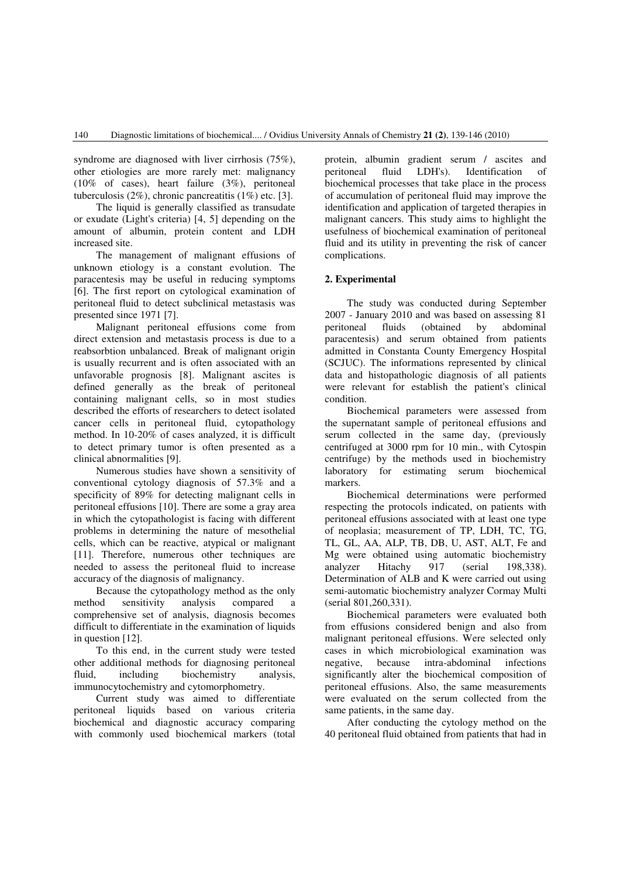syndrome are diagnosed with liver cirrhosis (75%), other etiologies are more rarely met: malignancy (10% of cases), heart failure (3%), peritoneal tuberculosis (2%), chronic pancreatitis (1%) etc. [3].

The liquid is generally classified as transudate or exudate (Light's criteria) [4, 5] depending on the amount of albumin, protein content and LDH increased site.

The management of malignant effusions of unknown etiology is a constant evolution. The paracentesis may be useful in reducing symptoms [6]. The first report on cytological examination of peritoneal fluid to detect subclinical metastasis was presented since 1971 [7].

Malignant peritoneal effusions come from direct extension and metastasis process is due to a reabsorbtion unbalanced. Break of malignant origin is usually recurrent and is often associated with an unfavorable prognosis [8]. Malignant ascites is defined generally as the break of peritoneal containing malignant cells, so in most studies described the efforts of researchers to detect isolated cancer cells in peritoneal fluid, cytopathology method. In 10-20% of cases analyzed, it is difficult to detect primary tumor is often presented as a clinical abnormalities [9].

Numerous studies have shown a sensitivity of conventional cytology diagnosis of 57.3% and a specificity of 89% for detecting malignant cells in peritoneal effusions [10]. There are some a gray area in which the cytopathologist is facing with different problems in determining the nature of mesothelial cells, which can be reactive, atypical or malignant [11]. Therefore, numerous other techniques are needed to assess the peritoneal fluid to increase accuracy of the diagnosis of malignancy.

Because the cytopathology method as the only method sensitivity analysis compared a comprehensive set of analysis, diagnosis becomes difficult to differentiate in the examination of liquids in question [12].

To this end, in the current study were tested other additional methods for diagnosing peritoneal fluid, including biochemistry analysis, immunocytochemistry and cytomorphometry.

Current study was aimed to differentiate peritoneal liquids based on various criteria biochemical and diagnostic accuracy comparing with commonly used biochemical markers (total protein, albumin gradient serum / ascites and peritoneal fluid LDH's). Identification of biochemical processes that take place in the process of accumulation of peritoneal fluid may improve the identification and application of targeted therapies in malignant cancers. This study aims to highlight the usefulness of biochemical examination of peritoneal fluid and its utility in preventing the risk of cancer complications.

# **2. Experimental**

The study was conducted during September 2007 - January 2010 and was based on assessing 81 peritoneal fluids (obtained by abdominal paracentesis) and serum obtained from patients admitted in Constanta County Emergency Hospital (SCJUC). The informations represented by clinical data and histopathologic diagnosis of all patients were relevant for establish the patient's clinical condition.

Biochemical parameters were assessed from the supernatant sample of peritoneal effusions and serum collected in the same day, (previously centrifuged at 3000 rpm for 10 min., with Cytospin centrifuge) by the methods used in biochemistry laboratory for estimating serum biochemical markers.

Biochemical determinations were performed respecting the protocols indicated, on patients with peritoneal effusions associated with at least one type of neoplasia; measurement of TP, LDH, TC, TG, TL, GL, AA, ALP, TB, DB, U, AST, ALT, Fe and Mg were obtained using automatic biochemistry analyzer Hitachy 917 (serial 198,338). Determination of ALB and K were carried out using semi-automatic biochemistry analyzer Cormay Multi (serial 801,260,331).

Biochemical parameters were evaluated both from effusions considered benign and also from malignant peritoneal effusions. Were selected only cases in which microbiological examination was negative, because intra-abdominal infections significantly alter the biochemical composition of peritoneal effusions. Also, the same measurements were evaluated on the serum collected from the same patients, in the same day.

After conducting the cytology method on the 40 peritoneal fluid obtained from patients that had in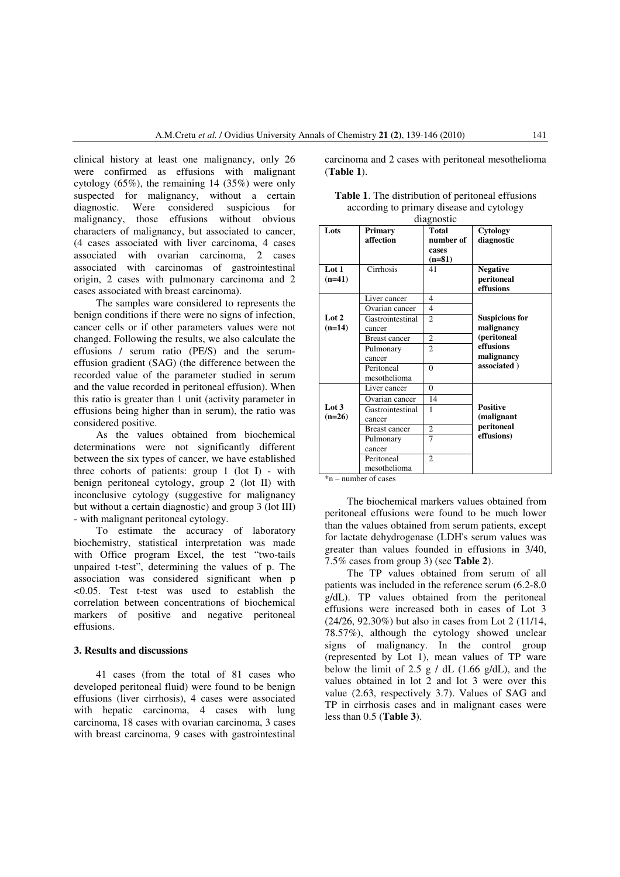clinical history at least one malignancy, only 26 were confirmed as effusions with malignant cytology (65%), the remaining 14 (35%) were only suspected for malignancy, without a certain diagnostic. Were considered suspicious for malignancy, those effusions without obvious characters of malignancy, but associated to cancer, (4 cases associated with liver carcinoma, 4 cases associated with ovarian carcinoma, 2 cases associated with carcinomas of gastrointestinal origin, 2 cases with pulmonary carcinoma and 2 cases associated with breast carcinoma).

The samples ware considered to represents the benign conditions if there were no signs of infection, cancer cells or if other parameters values were not changed. Following the results, we also calculate the effusions / serum ratio (PE/S) and the serumeffusion gradient (SAG) (the difference between the recorded value of the parameter studied in serum and the value recorded in peritoneal effusion). When this ratio is greater than 1 unit (activity parameter in effusions being higher than in serum), the ratio was considered positive.

As the values obtained from biochemical determinations were not significantly different between the six types of cancer, we have established three cohorts of patients: group  $1$  (lot I) - with benign peritoneal cytology, group 2 (lot II) with inconclusive cytology (suggestive for malignancy but without a certain diagnostic) and group 3 (lot III) - with malignant peritoneal cytology.

To estimate the accuracy of laboratory biochemistry, statistical interpretation was made with Office program Excel, the test "two-tails unpaired t-test", determining the values of p. The association was considered significant when p <0.05. Test t-test was used to establish the correlation between concentrations of biochemical markers of positive and negative peritoneal effusions.

#### **3. Results and discussions**

41 cases (from the total of 81 cases who developed peritoneal fluid) were found to be benign effusions (liver cirrhosis), 4 cases were associated with hepatic carcinoma, 4 cases with lung carcinoma, 18 cases with ovarian carcinoma, 3 cases with breast carcinoma, 9 cases with gastrointestinal carcinoma and 2 cases with peritoneal mesothelioma (**Table 1**).

| <b>Table 1.</b> The distribution of peritoneal effusions |
|----------------------------------------------------------|
| according to primary disease and cytology                |
| diognostic                                               |

|                   | ulagiiostic                |                                         |                                            |  |  |  |  |
|-------------------|----------------------------|-----------------------------------------|--------------------------------------------|--|--|--|--|
| Lots              | Primary<br>affection       | Total<br>number of<br>cases<br>$(n=81)$ | Cytology<br>diagnostic                     |  |  |  |  |
| Lot 1<br>$(n=41)$ | Cirrhosis                  | 41                                      | <b>Negative</b><br>peritoneal<br>effusions |  |  |  |  |
|                   | Liver cancer               | $\overline{4}$                          |                                            |  |  |  |  |
|                   | Ovarian cancer             | $\overline{4}$                          |                                            |  |  |  |  |
| Lot 2<br>$(n=14)$ | Gastrointestinal<br>cancer | $\overline{2}$                          | <b>Suspicious for</b><br>malignancy        |  |  |  |  |
|                   | <b>Breast cancer</b>       | $\overline{2}$                          | (peritoneal                                |  |  |  |  |
|                   | Pulmonary                  | $\mathfrak{D}$                          | effusions                                  |  |  |  |  |
|                   | cancer                     |                                         | malignancy                                 |  |  |  |  |
|                   | Peritoneal<br>mesothelioma | $\theta$                                | associated)                                |  |  |  |  |
|                   | Liver cancer               | $\theta$                                |                                            |  |  |  |  |
| Lot 3<br>$(n=26)$ | Ovarian cancer             | 14                                      |                                            |  |  |  |  |
|                   | Gastrointestinal<br>cancer | 1                                       | <b>Positive</b><br>(malignant              |  |  |  |  |
|                   | <b>Breast cancer</b>       | $\overline{c}$                          | peritoneal                                 |  |  |  |  |
|                   | Pulmonary                  | $\overline{7}$                          | effusions)                                 |  |  |  |  |
|                   | cancer                     |                                         |                                            |  |  |  |  |
|                   | Peritoneal                 | $\overline{c}$                          |                                            |  |  |  |  |
|                   | mesothelioma               |                                         |                                            |  |  |  |  |

\*n – number of cases

The biochemical markers values obtained from peritoneal effusions were found to be much lower than the values obtained from serum patients, except for lactate dehydrogenase (LDH's serum values was greater than values founded in effusions in 3/40, 7.5% cases from group 3) (see **Table 2**).

The TP values obtained from serum of all patients was included in the reference serum (6.2-8.0 g/dL). TP values obtained from the peritoneal effusions were increased both in cases of Lot 3 (24/26, 92.30%) but also in cases from Lot 2 (11/14, 78.57%), although the cytology showed unclear signs of malignancy. In the control group (represented by Lot 1), mean values of TP ware below the limit of 2.5 g / dL (1.66 g/dL), and the values obtained in lot 2 and lot 3 were over this value (2.63, respectively 3.7). Values of SAG and TP in cirrhosis cases and in malignant cases were less than 0.5 (**Table 3**).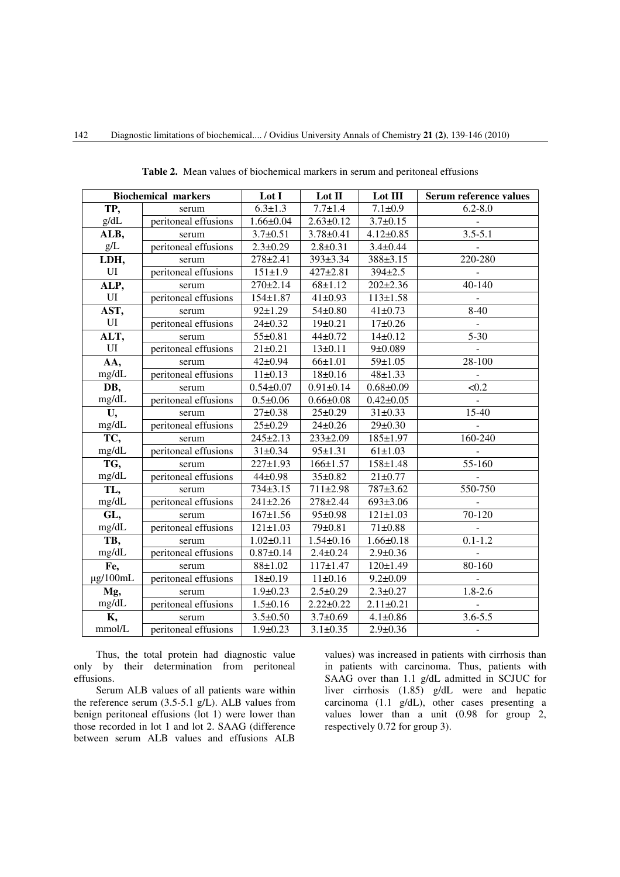| <b>Biochemical markers</b> |                      | Lot I           | Lot II          | Lot III         | Serum reference values      |
|----------------------------|----------------------|-----------------|-----------------|-----------------|-----------------------------|
| TP,                        | serum                | $6.3 \pm 1.3$   | $7.7 \pm 1.4$   | $7.1 \pm 0.9$   | $6.2 - 8.0$                 |
| g/dL                       | peritoneal effusions | $1.66 \pm 0.04$ | $2.63 \pm 0.12$ | $3.7 \pm 0.15$  | $\overline{\phantom{a}}$    |
| ALB,                       | serum                | $3.7 \pm 0.51$  | $3.78 \pm 0.41$ | $4.12 \pm 0.85$ | $3.5 - 5.1$                 |
| g/L                        | peritoneal effusions | $2.3 \pm 0.29$  | $2.8 + 0.31$    | $3.4 \pm 0.44$  |                             |
| LDH,                       | serum                | 278±2.41        | 393±3.34        | 388±3.15        | 220-280                     |
| UI                         | peritoneal effusions | $151 \pm 1.9$   | $427 + 2.81$    | 394±2.5         | $\blacksquare$              |
| ALP,                       | serum                | $270 \pm 2.14$  | $68 + 1.12$     | $202 \pm 2.36$  | 40-140                      |
| UI                         | peritoneal effusions | $154 \pm 1.87$  | $41 \pm 0.93$   | $113 \pm 1.58$  | $\Box$                      |
| AST,                       | serum                | $92 \pm 1.29$   | $54 \pm 0.80$   | $41 \pm 0.73$   | $8-40$                      |
| UI                         | peritoneal effusions | $24 \pm 0.32$   | $19+0.21$       | $17+0.26$       | $\mathbf{r}$                |
| ALT,                       | serum                | $55 \pm 0.81$   | $44 + 0.72$     | $14\pm0.12$     | $5 - 30$                    |
| UI                         | peritoneal effusions | $21 \pm 0.21$   | $13 \pm 0.11$   | 9±0.089         | $\omega$                    |
| AA,                        | serum                | $42 \pm 0.94$   | 66±1.01         | $59 \pm 1.05$   | 28-100                      |
| mg/dL                      | peritoneal effusions | 11±0.13         | 18±0.16         | $48 + 1.33$     | $\mathbb{L}$                |
| DB,                        | serum                | $0.54 \pm 0.07$ | $0.91 \pm 0.14$ | $0.68 + 0.09$   | < 0.2                       |
| mg/dL                      | peritoneal effusions | $0.5 \pm 0.06$  | $0.66 \pm 0.08$ | $0.42 \pm 0.05$ | $\mathcal{L}_{\mathcal{A}}$ |
| U,                         | serum                | $27 \pm 0.38$   | $25 \pm 0.29$   | $31 \pm 0.33$   | 15-40                       |
| mg/dL                      | peritoneal effusions | $25 \pm 0.29$   | $24 \pm 0.26$   | $29 \pm 0.30$   |                             |
| TC,                        | serum                | $245 \pm 2.13$  | 233±2.09        | $185 \pm 1.97$  | 160-240                     |
| mg/dL                      | peritoneal effusions | $31 \pm 0.34$   | $95 \pm 1.31$   | $61 \pm 1.03$   |                             |
| TG,                        | serum                | $227 \pm 1.93$  | $166 \pm 1.57$  | $158 + 1.48$    | 55-160                      |
| mg/dL                      | peritoneal effusions | $44 + 0.98$     | $35 \pm 0.82$   | $21 \pm 0.77$   | $\blacksquare$              |
| TL,                        | serum                | $734 \pm 3.15$  | 711±2.98        | 787±3.62        | 550-750                     |
| mg/dL                      | peritoneal effusions | $241 \pm 2.26$  | 278±2.44        | 693±3.06        |                             |
| GL,                        | serum                | $167 \pm 1.56$  | $95 \pm 0.98$   | $121 \pm 1.03$  | 70-120                      |
| mg/dL                      | peritoneal effusions | $121 \pm 1.03$  | 79±0.81         | $71 \pm 0.88$   | $\omega$                    |
| TB,                        | serum                | $1.02 \pm 0.11$ | $1.54 \pm 0.16$ | $1.66 \pm 0.18$ | $0.1 - 1.2$                 |
| mg/dL                      | peritoneal effusions | $0.87 + 0.14$   | $2.4 \pm 0.24$  | $2.9 + 0.36$    |                             |
| Fe,                        | serum                | $88 + 1.02$     | $117 + 1.47$    | 120±1.49        | 80-160                      |
| $\mu$ g/100mL              | peritoneal effusions | 18±0.19         | $11 \pm 0.16$   | $9.2 \pm 0.09$  |                             |
| Mg,                        | serum                | $1.9 \pm 0.23$  | $2.5 \pm 0.29$  | $2.3 \pm 0.27$  | $1.8 - 2.6$                 |
| mg/dL                      | peritoneal effusions | $1.5 \pm 0.16$  | $2.22 \pm 0.22$ | $2.11 \pm 0.21$ | $\overline{\phantom{a}}$    |
| K,                         | serum                | $3.5 \pm 0.50$  | $3.7 \pm 0.69$  | $4.1 \pm 0.86$  | $3.6 - 5.5$                 |
| mmol/L                     | peritoneal effusions | $1.9 + 0.23$    | $3.1 \pm 0.35$  | $2.9 \pm 0.36$  | $\blacksquare$              |

**Table 2.** Mean values of biochemical markers in serum and peritoneal effusions

Thus, the total protein had diagnostic value only by their determination from peritoneal effusions.

Serum ALB values of all patients ware within the reference serum  $(3.5-5.1 \text{ g/L})$ . ALB values from benign peritoneal effusions (lot 1) were lower than those recorded in lot 1 and lot 2. SAAG (difference between serum ALB values and effusions ALB

values) was increased in patients with cirrhosis than in patients with carcinoma. Thus, patients with SAAG over than 1.1 g/dL admitted in SCJUC for liver cirrhosis (1.85) g/dL were and hepatic carcinoma (1.1 g/dL), other cases presenting a values lower than a unit (0.98 for group 2, respectively 0.72 for group 3).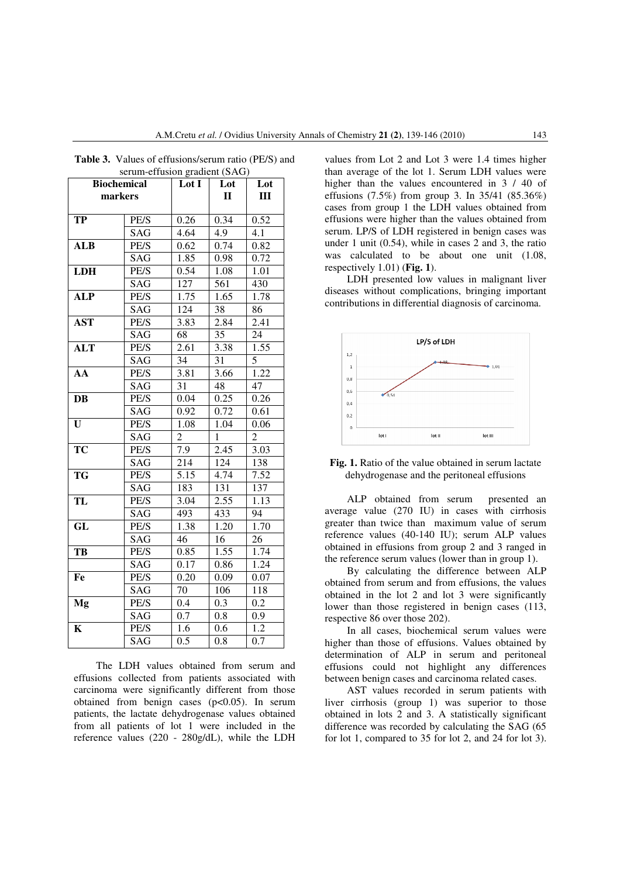| <b>Biochemical</b> |      | Lot I          | Lot          | Lot            |
|--------------------|------|----------------|--------------|----------------|
| markers            |      |                | $\mathbf{I}$ | Ш              |
|                    |      |                |              |                |
| <b>TP</b>          | PE/S | 0.26           | 0.34         | 0.52           |
|                    | SAG  | 4.64           | 4.9          | 4.1            |
| <b>ALB</b>         | PE/S | 0.62           | 0.74         | 0.82           |
|                    | SAG  | 1.85           | 0.98         | 0.72           |
| <b>LDH</b>         | PE/S | 0.54           | 1.08         | 1.01           |
|                    | SAG  | 127            | 561          | 430            |
| $\overline{ALP}$   | PE/S | 1.75           | 1.65         | 1.78           |
|                    | SAG  | 124            | 38           | 86             |
| <b>AST</b>         | PE/S | 3.83           | 2.84         | 2.41           |
|                    | SAG  | 68             | 35           | 24             |
| <b>ALT</b>         | PE/S | 2.61           | 3.38         | 1.55           |
|                    | SAG  | 34             | 31           | $\overline{5}$ |
| $\overline{AA}$    | PE/S | 3.81           | 3.66         | 1.22           |
|                    | SAG  | 31             | 48           | 47             |
| DB                 | PE/S | 0.04           | 0.25         | 0.26           |
|                    | SAG  | 0.92           | 0.72         | 0.61           |
| U                  | PE/S | 1.08           | 1.04         | 0.06           |
|                    | SAG  | $\overline{2}$ | $\mathbf{1}$ | $\overline{2}$ |
| TC                 | PE/S | 7.9            | 2.45         | 3.03           |
|                    | SAG  | 214            | 124          | 138            |
| <b>TG</b>          | PE/S | 5.15           | 4.74         | 7.52           |
|                    | SAG  | 183            | 131          | 137            |
| TL                 | PE/S | 3.04           | 2.55         | 1.13           |
|                    | SAG  | 493            | 433          | 94             |
| GL                 | PE/S | 1.38           | 1.20         | 1.70           |
|                    | SAG  | 46             | 16           | 26             |
| TB                 | PE/S | 0.85           | 1.55         | 1.74           |
|                    | SAG  | 0.17           | 0.86         | 1.24           |
| Fe                 | PE/S | 0.20           | 0.09         | 0.07           |
|                    | SAG  | 70             | 106          | 118            |
| Mg                 | PE/S | $0.4\,$        | 0.3          | 0.2            |
|                    | SAG  | 0.7            | 0.8          | 0.9            |
| $\mathbf K$        | PE/S | 1.6            | 0.6          | 1.2            |
|                    | SAG  | 0.5            | 0.8          | 0.7            |

**Table 3.** Values of effusions/serum ratio (PE/S) and serum-effusion gradient (SAG)

values from Lot 2 and Lot 3 were 1.4 times higher than average of the lot 1. Serum LDH values were higher than the values encountered in  $3 / 40$  of effusions (7.5%) from group 3. In 35/41 (85.36%) cases from group 1 the LDH values obtained from effusions were higher than the values obtained from serum. LP/S of LDH registered in benign cases was under 1 unit (0.54), while in cases 2 and 3, the ratio was calculated to be about one unit (1.08, respectively 1.01) (**Fig. 1**).

LDH presented low values in malignant liver diseases without complications, bringing important contributions in differential diagnosis of carcinoma.





ALP obtained from serum presented an average value (270 IU) in cases with cirrhosis greater than twice than maximum value of serum reference values (40-140 IU); serum ALP values obtained in effusions from group 2 and 3 ranged in the reference serum values (lower than in group 1).

By calculating the difference between ALP obtained from serum and from effusions, the values obtained in the lot 2 and lot 3 were significantly lower than those registered in benign cases (113, respective 86 over those 202).

In all cases, biochemical serum values were higher than those of effusions. Values obtained by determination of ALP in serum and peritoneal effusions could not highlight any differences between benign cases and carcinoma related cases.

AST values recorded in serum patients with liver cirrhosis (group 1) was superior to those obtained in lots 2 and 3. A statistically significant difference was recorded by calculating the SAG (65 for lot 1, compared to 35 for lot 2, and 24 for lot 3).

The LDH values obtained from serum and effusions collected from patients associated with carcinoma were significantly different from those obtained from benign cases  $(p<0.05)$ . In serum patients, the lactate dehydrogenase values obtained from all patients of lot 1 were included in the reference values (220 - 280g/dL), while the LDH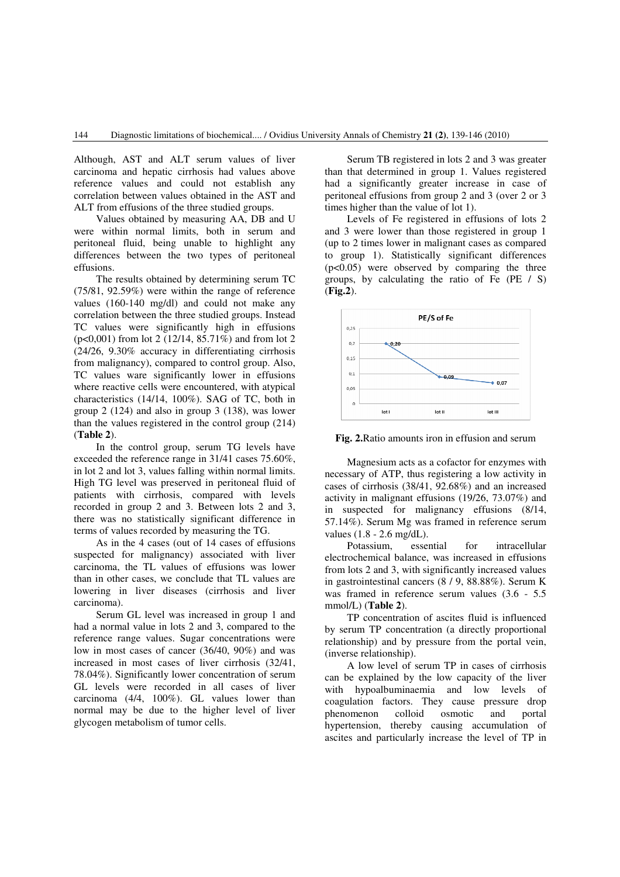Although, AST and ALT serum values of liver carcinoma and hepatic cirrhosis had values above reference values and could not establish any correlation between values obtained in the AST and ALT from effusions of the three studied groups.

Values obtained by measuring AA, DB and U were within normal limits, both in serum and peritoneal fluid, being unable to highlight any differences between the two types of peritoneal effusions.

The results obtained by determining serum TC (75/81, 92.59%) were within the range of reference values (160-140 mg/dl) and could not make any correlation between the three studied groups. Instead TC values were significantly high in effusions (p<0,001) from lot 2 (12/14, 85.71%) and from lot 2 (24/26, 9.30% accuracy in differentiating cirrhosis from malignancy), compared to control group. Also, TC values ware significantly lower in effusions where reactive cells were encountered, with atypical characteristics (14/14, 100%). SAG of TC, both in group 2 (124) and also in group 3 (138), was lower than the values registered in the control group (214) (**Table 2**).

In the control group, serum TG levels have exceeded the reference range in 31/41 cases 75.60%, in lot 2 and lot 3, values falling within normal limits. High TG level was preserved in peritoneal fluid of patients with cirrhosis, compared with levels recorded in group 2 and 3. Between lots 2 and 3, there was no statistically significant difference in terms of values recorded by measuring the TG.

As in the 4 cases (out of 14 cases of effusions suspected for malignancy) associated with liver carcinoma, the TL values of effusions was lower than in other cases, we conclude that TL values are lowering in liver diseases (cirrhosis and liver carcinoma).

Serum GL level was increased in group 1 and had a normal value in lots 2 and 3, compared to the reference range values. Sugar concentrations were low in most cases of cancer (36/40, 90%) and was increased in most cases of liver cirrhosis (32/41, 78.04%). Significantly lower concentration of serum GL levels were recorded in all cases of liver carcinoma (4/4, 100%). GL values lower than normal may be due to the higher level of liver glycogen metabolism of tumor cells.

Serum TB registered in lots 2 and 3 was greater than that determined in group 1. Values registered had a significantly greater increase in case of peritoneal effusions from group 2 and 3 (over 2 or 3 times higher than the value of lot 1).

Levels of Fe registered in effusions of lots 2 and 3 were lower than those registered in group 1 (up to 2 times lower in malignant cases as compared to group 1). Statistically significant differences  $(p<0.05)$  were observed by comparing the three groups, by calculating the ratio of Fe (PE / S) (**Fig.2**).



**Fig. 2.**Ratio amounts iron in effusion and serum

Magnesium acts as a cofactor for enzymes with necessary of ATP, thus registering a low activity in cases of cirrhosis (38/41, 92.68%) and an increased activity in malignant effusions (19/26, 73.07%) and in suspected for malignancy effusions (8/14, 57.14%). Serum Mg was framed in reference serum values (1.8 - 2.6 mg/dL).

Potassium, essential for intracellular electrochemical balance, was increased in effusions from lots 2 and 3, with significantly increased values in gastrointestinal cancers (8 / 9, 88.88%). Serum K was framed in reference serum values (3.6 - 5.5 mmol/L) (**Table 2**).

TP concentration of ascites fluid is influenced by serum TP concentration (a directly proportional relationship) and by pressure from the portal vein, (inverse relationship).

A low level of serum TP in cases of cirrhosis can be explained by the low capacity of the liver with hypoalbuminaemia and low levels of coagulation factors. They cause pressure drop phenomenon colloid osmotic and portal hypertension, thereby causing accumulation of ascites and particularly increase the level of TP in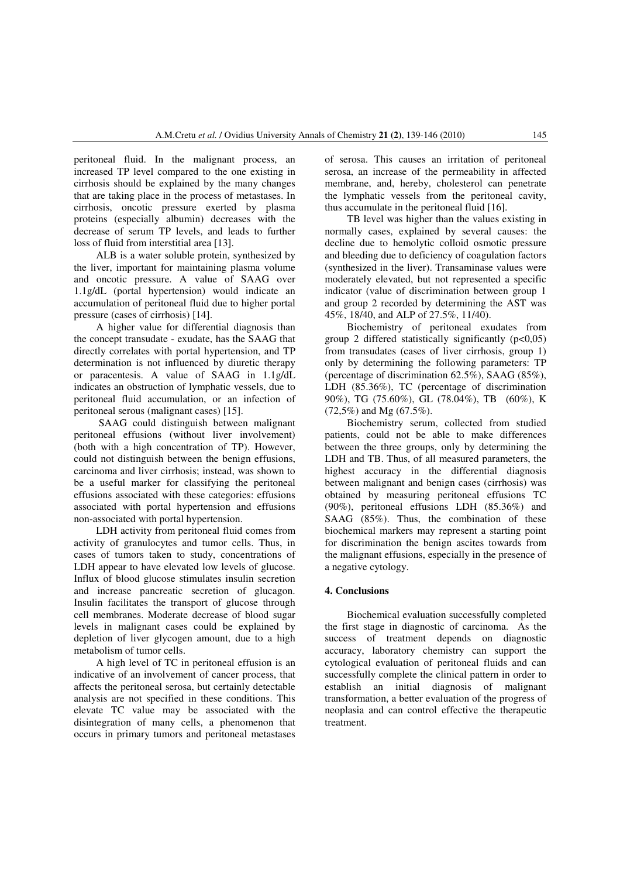peritoneal fluid. In the malignant process, an increased TP level compared to the one existing in cirrhosis should be explained by the many changes that are taking place in the process of metastases. In cirrhosis, oncotic pressure exerted by plasma proteins (especially albumin) decreases with the decrease of serum TP levels, and leads to further loss of fluid from interstitial area [13].

ALB is a water soluble protein, synthesized by the liver, important for maintaining plasma volume and oncotic pressure. A value of SAAG over 1.1g/dL (portal hypertension) would indicate an accumulation of peritoneal fluid due to higher portal pressure (cases of cirrhosis) [14].

A higher value for differential diagnosis than the concept transudate - exudate, has the SAAG that directly correlates with portal hypertension, and TP determination is not influenced by diuretic therapy or paracentesis. A value of SAAG in 1.1g/dL indicates an obstruction of lymphatic vessels, due to peritoneal fluid accumulation, or an infection of peritoneal serous (malignant cases) [15].

 SAAG could distinguish between malignant peritoneal effusions (without liver involvement) (both with a high concentration of TP). However, could not distinguish between the benign effusions, carcinoma and liver cirrhosis; instead, was shown to be a useful marker for classifying the peritoneal effusions associated with these categories: effusions associated with portal hypertension and effusions non-associated with portal hypertension.

LDH activity from peritoneal fluid comes from activity of granulocytes and tumor cells. Thus, in cases of tumors taken to study, concentrations of LDH appear to have elevated low levels of glucose. Influx of blood glucose stimulates insulin secretion and increase pancreatic secretion of glucagon. Insulin facilitates the transport of glucose through cell membranes. Moderate decrease of blood sugar levels in malignant cases could be explained by depletion of liver glycogen amount, due to a high metabolism of tumor cells.

A high level of TC in peritoneal effusion is an indicative of an involvement of cancer process, that affects the peritoneal serosa, but certainly detectable analysis are not specified in these conditions. This elevate TC value may be associated with the disintegration of many cells, a phenomenon that occurs in primary tumors and peritoneal metastases of serosa. This causes an irritation of peritoneal serosa, an increase of the permeability in affected membrane, and, hereby, cholesterol can penetrate the lymphatic vessels from the peritoneal cavity, thus accumulate in the peritoneal fluid [16].

TB level was higher than the values existing in normally cases, explained by several causes: the decline due to hemolytic colloid osmotic pressure and bleeding due to deficiency of coagulation factors (synthesized in the liver). Transaminase values were moderately elevated, but not represented a specific indicator (value of discrimination between group 1 and group 2 recorded by determining the AST was 45%, 18/40, and ALP of 27.5%, 11/40).

Biochemistry of peritoneal exudates from group 2 differed statistically significantly  $(p<0.05)$ from transudates (cases of liver cirrhosis, group 1) only by determining the following parameters: TP (percentage of discrimination 62.5%), SAAG (85%), LDH (85.36%), TC (percentage of discrimination 90%), TG (75.60%), GL (78.04%), TB (60%), K (72,5%) and Mg (67.5%).

Biochemistry serum, collected from studied patients, could not be able to make differences between the three groups, only by determining the LDH and TB. Thus, of all measured parameters, the highest accuracy in the differential diagnosis between malignant and benign cases (cirrhosis) was obtained by measuring peritoneal effusions TC (90%), peritoneal effusions LDH (85.36%) and SAAG (85%). Thus, the combination of these biochemical markers may represent a starting point for discrimination the benign ascites towards from the malignant effusions, especially in the presence of a negative cytology.

# **4. Conclusions**

Biochemical evaluation successfully completed the first stage in diagnostic of carcinoma. As the success of treatment depends on diagnostic accuracy, laboratory chemistry can support the cytological evaluation of peritoneal fluids and can successfully complete the clinical pattern in order to establish an initial diagnosis of malignant transformation, a better evaluation of the progress of neoplasia and can control effective the therapeutic treatment.